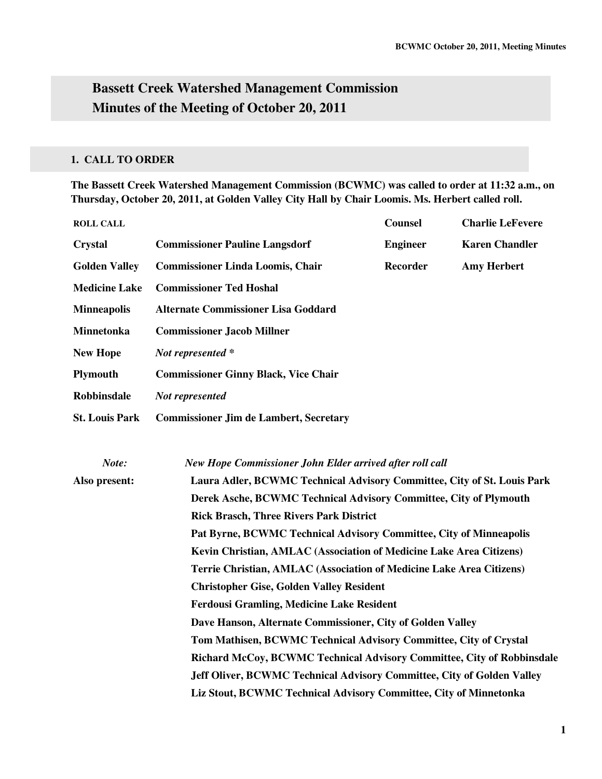# **Bassett Creek Watershed Management Commission Minutes of the Meeting of October 20, 2011**

## **1. CALL TO ORDER**

**The Bassett Creek Watershed Management Commission (BCWMC) was called to order at 11:32 a.m., on Thursday, October 20, 2011, at Golden Valley City Hall by Chair Loomis. Ms. Herbert called roll.** 

| <b>ROLL CALL</b>      |                                                                                                                                 | <b>Counsel</b>                        | <b>Charlie LeFevere</b> |  |  |  |
|-----------------------|---------------------------------------------------------------------------------------------------------------------------------|---------------------------------------|-------------------------|--|--|--|
| <b>Crystal</b>        | <b>Commissioner Pauline Langsdorf</b>                                                                                           | <b>Engineer</b>                       | <b>Karen Chandler</b>   |  |  |  |
| <b>Golden Valley</b>  | <b>Commissioner Linda Loomis, Chair</b>                                                                                         | <b>Recorder</b><br><b>Amy Herbert</b> |                         |  |  |  |
| <b>Medicine Lake</b>  | <b>Commissioner Ted Hoshal</b>                                                                                                  |                                       |                         |  |  |  |
| <b>Minneapolis</b>    | <b>Alternate Commissioner Lisa Goddard</b>                                                                                      |                                       |                         |  |  |  |
| <b>Minnetonka</b>     | <b>Commissioner Jacob Millner</b>                                                                                               |                                       |                         |  |  |  |
| <b>New Hope</b>       | Not represented *                                                                                                               |                                       |                         |  |  |  |
| <b>Plymouth</b>       | <b>Commissioner Ginny Black, Vice Chair</b>                                                                                     |                                       |                         |  |  |  |
| <b>Robbinsdale</b>    | Not represented                                                                                                                 |                                       |                         |  |  |  |
| <b>St. Louis Park</b> | <b>Commissioner Jim de Lambert, Secretary</b>                                                                                   |                                       |                         |  |  |  |
|                       |                                                                                                                                 |                                       |                         |  |  |  |
| Note:                 | New Hope Commissioner John Elder arrived after roll call                                                                        |                                       |                         |  |  |  |
| Also present:         | Laura Adler, BCWMC Technical Advisory Committee, City of St. Louis Park                                                         |                                       |                         |  |  |  |
|                       | Derek Asche, BCWMC Technical Advisory Committee, City of Plymouth                                                               |                                       |                         |  |  |  |
|                       | <b>Rick Brasch, Three Rivers Park District</b>                                                                                  |                                       |                         |  |  |  |
|                       | Pat Byrne, BCWMC Technical Advisory Committee, City of Minneapolis                                                              |                                       |                         |  |  |  |
|                       | Kevin Christian, AMLAC (Association of Medicine Lake Area Citizens)                                                             |                                       |                         |  |  |  |
|                       | Terrie Christian, AMLAC (Association of Medicine Lake Area Citizens)                                                            |                                       |                         |  |  |  |
|                       | <b>Christopher Gise, Golden Valley Resident</b>                                                                                 |                                       |                         |  |  |  |
|                       | <b>Ferdousi Gramling, Medicine Lake Resident</b>                                                                                |                                       |                         |  |  |  |
|                       | Dave Hanson, Alternate Commissioner, City of Golden Valley<br>Tom Mathisen, BCWMC Technical Advisory Committee, City of Crystal |                                       |                         |  |  |  |
|                       |                                                                                                                                 |                                       |                         |  |  |  |
|                       | Richard McCoy, BCWMC Technical Advisory Committee, City of Robbinsdale                                                          |                                       |                         |  |  |  |
|                       | Jeff Oliver, BCWMC Technical Advisory Committee, City of Golden Valley                                                          |                                       |                         |  |  |  |
|                       | Liz Stout, BCWMC Technical Advisory Committee, City of Minnetonka                                                               |                                       |                         |  |  |  |
|                       |                                                                                                                                 |                                       |                         |  |  |  |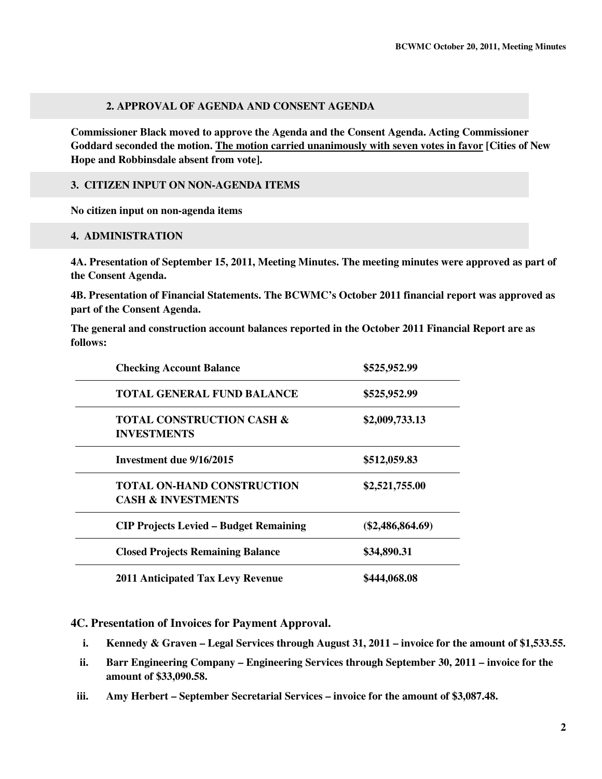## **2. APPROVAL OF AGENDA AND CONSENT AGENDA**

**Commissioner Black moved to approve the Agenda and the Consent Agenda. Acting Commissioner Goddard seconded the motion. The motion carried unanimously with seven votes in favor [Cities of New Hope and Robbinsdale absent from vote].** 

#### **3. CITIZEN INPUT ON NON-AGENDA ITEMS**

**No citizen input on non-agenda items** 

#### **4. ADMINISTRATION**

**4A. Presentation of September 15, 2011, Meeting Minutes. The meeting minutes were approved as part of the Consent Agenda.** 

**4B. Presentation of Financial Statements. The BCWMC's October 2011 financial report was approved as part of the Consent Agenda.** 

**The general and construction account balances reported in the October 2011 Financial Report are as follows:** 

| <b>Checking Account Balance</b>                                    | \$525,952.99       |  |
|--------------------------------------------------------------------|--------------------|--|
| <b>TOTAL GENERAL FUND BALANCE</b>                                  | \$525,952.99       |  |
| <b>TOTAL CONSTRUCTION CASH &amp;</b><br><b>INVESTMENTS</b>         | \$2,009,733.13     |  |
| Investment due 9/16/2015                                           | \$512,059.83       |  |
| <b>TOTAL ON-HAND CONSTRUCTION</b><br><b>CASH &amp; INVESTMENTS</b> | \$2,521,755.00     |  |
| <b>CIP Projects Levied - Budget Remaining</b>                      | $(\$2,486,864.69)$ |  |
| <b>Closed Projects Remaining Balance</b>                           | \$34,890.31        |  |
| <b>2011 Anticipated Tax Levy Revenue</b>                           | \$444,068.08       |  |

**4C. Presentation of Invoices for Payment Approval.** 

- **i. Kennedy & Graven Legal Services through August 31, 2011 invoice for the amount of \$1,533.55.**
- **ii. Barr Engineering Company Engineering Services through September 30, 2011 invoice for the amount of \$33,090.58.**
- **iii. Amy Herbert September Secretarial Services invoice for the amount of \$3,087.48.**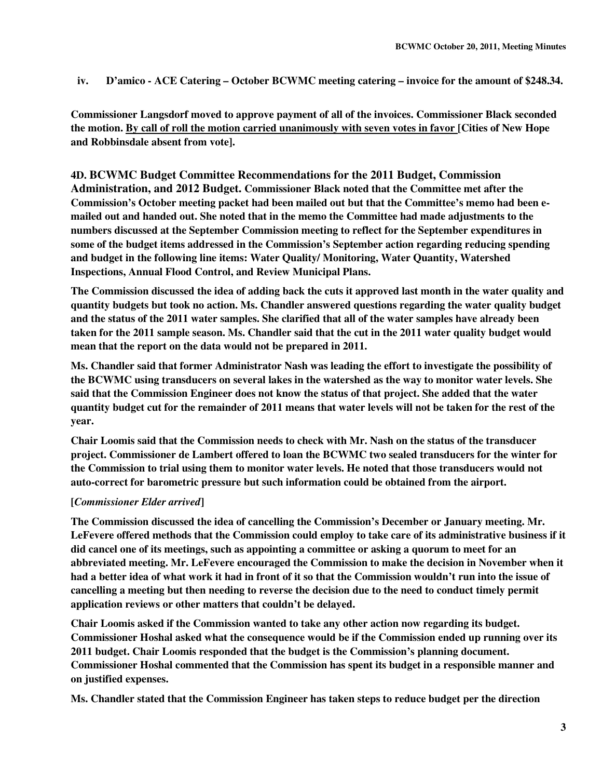**iv. D'amico - ACE Catering – October BCWMC meeting catering – invoice for the amount of \$248.34.** 

**Commissioner Langsdorf moved to approve payment of all of the invoices. Commissioner Black seconded the motion. By call of roll the motion carried unanimously with seven votes in favor [Cities of New Hope and Robbinsdale absent from vote].** 

**4D. BCWMC Budget Committee Recommendations for the 2011 Budget, Commission Administration, and 2012 Budget. Commissioner Black noted that the Committee met after the Commission's October meeting packet had been mailed out but that the Committee's memo had been emailed out and handed out. She noted that in the memo the Committee had made adjustments to the numbers discussed at the September Commission meeting to reflect for the September expenditures in some of the budget items addressed in the Commission's September action regarding reducing spending and budget in the following line items: Water Quality/ Monitoring, Water Quantity, Watershed Inspections, Annual Flood Control, and Review Municipal Plans.** 

**The Commission discussed the idea of adding back the cuts it approved last month in the water quality and quantity budgets but took no action. Ms. Chandler answered questions regarding the water quality budget and the status of the 2011 water samples. She clarified that all of the water samples have already been taken for the 2011 sample season. Ms. Chandler said that the cut in the 2011 water quality budget would mean that the report on the data would not be prepared in 2011.** 

**Ms. Chandler said that former Administrator Nash was leading the effort to investigate the possibility of the BCWMC using transducers on several lakes in the watershed as the way to monitor water levels. She said that the Commission Engineer does not know the status of that project. She added that the water quantity budget cut for the remainder of 2011 means that water levels will not be taken for the rest of the year.** 

**Chair Loomis said that the Commission needs to check with Mr. Nash on the status of the transducer project. Commissioner de Lambert offered to loan the BCWMC two sealed transducers for the winter for the Commission to trial using them to monitor water levels. He noted that those transducers would not auto-correct for barometric pressure but such information could be obtained from the airport.** 

## **[***Commissioner Elder arrived***]**

**The Commission discussed the idea of cancelling the Commission's December or January meeting. Mr. LeFevere offered methods that the Commission could employ to take care of its administrative business if it did cancel one of its meetings, such as appointing a committee or asking a quorum to meet for an abbreviated meeting. Mr. LeFevere encouraged the Commission to make the decision in November when it had a better idea of what work it had in front of it so that the Commission wouldn't run into the issue of cancelling a meeting but then needing to reverse the decision due to the need to conduct timely permit application reviews or other matters that couldn't be delayed.** 

**Chair Loomis asked if the Commission wanted to take any other action now regarding its budget. Commissioner Hoshal asked what the consequence would be if the Commission ended up running over its 2011 budget. Chair Loomis responded that the budget is the Commission's planning document. Commissioner Hoshal commented that the Commission has spent its budget in a responsible manner and on justified expenses.** 

**Ms. Chandler stated that the Commission Engineer has taken steps to reduce budget per the direction**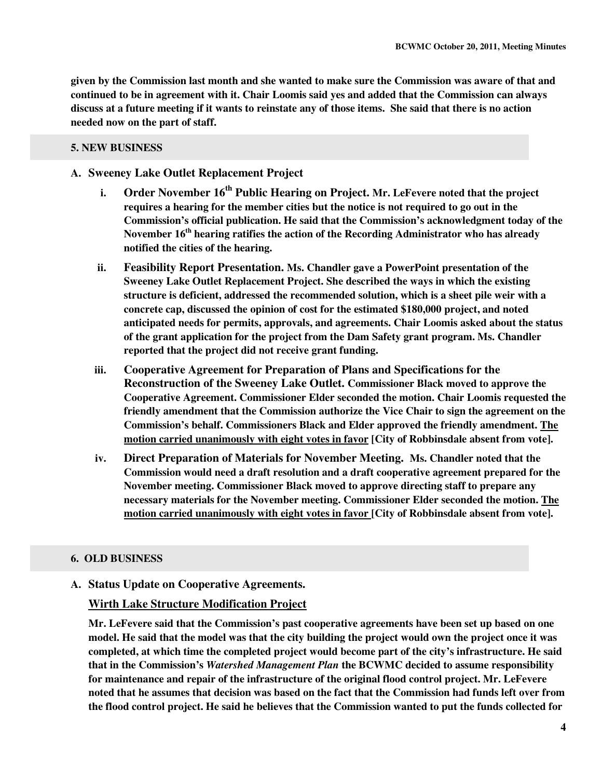**given by the Commission last month and she wanted to make sure the Commission was aware of that and continued to be in agreement with it. Chair Loomis said yes and added that the Commission can always discuss at a future meeting if it wants to reinstate any of those items. She said that there is no action needed now on the part of staff.** 

#### **5. NEW BUSINESS**

## **A. Sweeney Lake Outlet Replacement Project**

- **i. Order November 16th Public Hearing on Project. Mr. LeFevere noted that the project requires a hearing for the member cities but the notice is not required to go out in the Commission's official publication. He said that the Commission's acknowledgment today of the November 16th hearing ratifies the action of the Recording Administrator who has already notified the cities of the hearing.**
- **ii. Feasibility Report Presentation. Ms. Chandler gave a PowerPoint presentation of the Sweeney Lake Outlet Replacement Project. She described the ways in which the existing structure is deficient, addressed the recommended solution, which is a sheet pile weir with a concrete cap, discussed the opinion of cost for the estimated \$180,000 project, and noted anticipated needs for permits, approvals, and agreements. Chair Loomis asked about the status of the grant application for the project from the Dam Safety grant program. Ms. Chandler reported that the project did not receive grant funding.**
- **iii. Cooperative Agreement for Preparation of Plans and Specifications for the Reconstruction of the Sweeney Lake Outlet. Commissioner Black moved to approve the Cooperative Agreement. Commissioner Elder seconded the motion. Chair Loomis requested the friendly amendment that the Commission authorize the Vice Chair to sign the agreement on the Commission's behalf. Commissioners Black and Elder approved the friendly amendment. The motion carried unanimously with eight votes in favor [City of Robbinsdale absent from vote].**
- **iv. Direct Preparation of Materials for November Meeting. Ms. Chandler noted that the Commission would need a draft resolution and a draft cooperative agreement prepared for the November meeting. Commissioner Black moved to approve directing staff to prepare any necessary materials for the November meeting. Commissioner Elder seconded the motion. The motion carried unanimously with eight votes in favor [City of Robbinsdale absent from vote].**

#### **6. OLD BUSINESS**

## **A. Status Update on Cooperative Agreements.**

## **Wirth Lake Structure Modification Project**

**Mr. LeFevere said that the Commission's past cooperative agreements have been set up based on one model. He said that the model was that the city building the project would own the project once it was completed, at which time the completed project would become part of the city's infrastructure. He said that in the Commission's** *Watershed Management Plan* **the BCWMC decided to assume responsibility for maintenance and repair of the infrastructure of the original flood control project. Mr. LeFevere noted that he assumes that decision was based on the fact that the Commission had funds left over from the flood control project. He said he believes that the Commission wanted to put the funds collected for**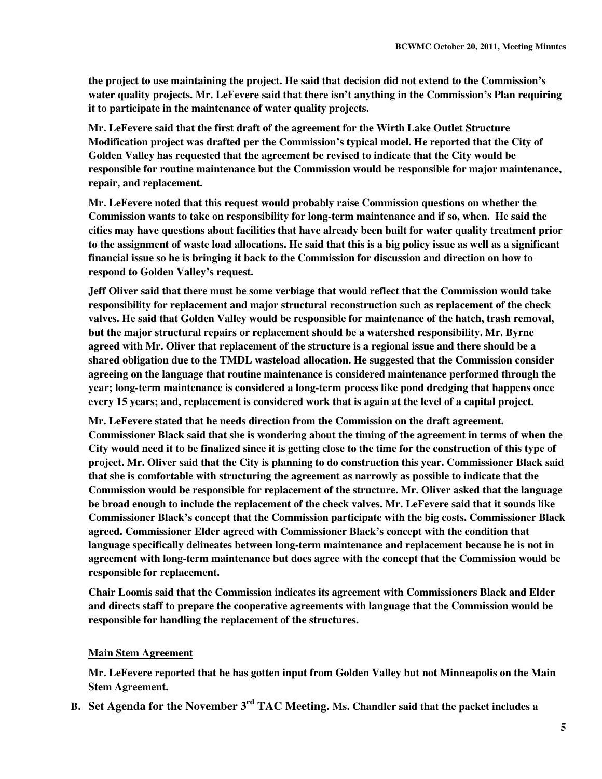**the project to use maintaining the project. He said that decision did not extend to the Commission's water quality projects. Mr. LeFevere said that there isn't anything in the Commission's Plan requiring it to participate in the maintenance of water quality projects.** 

**Mr. LeFevere said that the first draft of the agreement for the Wirth Lake Outlet Structure Modification project was drafted per the Commission's typical model. He reported that the City of Golden Valley has requested that the agreement be revised to indicate that the City would be responsible for routine maintenance but the Commission would be responsible for major maintenance, repair, and replacement.** 

**Mr. LeFevere noted that this request would probably raise Commission questions on whether the Commission wants to take on responsibility for long-term maintenance and if so, when. He said the cities may have questions about facilities that have already been built for water quality treatment prior to the assignment of waste load allocations. He said that this is a big policy issue as well as a significant financial issue so he is bringing it back to the Commission for discussion and direction on how to respond to Golden Valley's request.** 

**Jeff Oliver said that there must be some verbiage that would reflect that the Commission would take responsibility for replacement and major structural reconstruction such as replacement of the check valves. He said that Golden Valley would be responsible for maintenance of the hatch, trash removal, but the major structural repairs or replacement should be a watershed responsibility. Mr. Byrne agreed with Mr. Oliver that replacement of the structure is a regional issue and there should be a shared obligation due to the TMDL wasteload allocation. He suggested that the Commission consider agreeing on the language that routine maintenance is considered maintenance performed through the year; long-term maintenance is considered a long-term process like pond dredging that happens once every 15 years; and, replacement is considered work that is again at the level of a capital project.** 

**Mr. LeFevere stated that he needs direction from the Commission on the draft agreement. Commissioner Black said that she is wondering about the timing of the agreement in terms of when the City would need it to be finalized since it is getting close to the time for the construction of this type of project. Mr. Oliver said that the City is planning to do construction this year. Commissioner Black said that she is comfortable with structuring the agreement as narrowly as possible to indicate that the Commission would be responsible for replacement of the structure. Mr. Oliver asked that the language be broad enough to include the replacement of the check valves. Mr. LeFevere said that it sounds like Commissioner Black's concept that the Commission participate with the big costs. Commissioner Black agreed. Commissioner Elder agreed with Commissioner Black's concept with the condition that language specifically delineates between long-term maintenance and replacement because he is not in agreement with long-term maintenance but does agree with the concept that the Commission would be responsible for replacement.** 

**Chair Loomis said that the Commission indicates its agreement with Commissioners Black and Elder and directs staff to prepare the cooperative agreements with language that the Commission would be responsible for handling the replacement of the structures.** 

## **Main Stem Agreement**

**Mr. LeFevere reported that he has gotten input from Golden Valley but not Minneapolis on the Main Stem Agreement.** 

**B. Set Agenda for the November 3rd TAC Meeting. Ms. Chandler said that the packet includes a**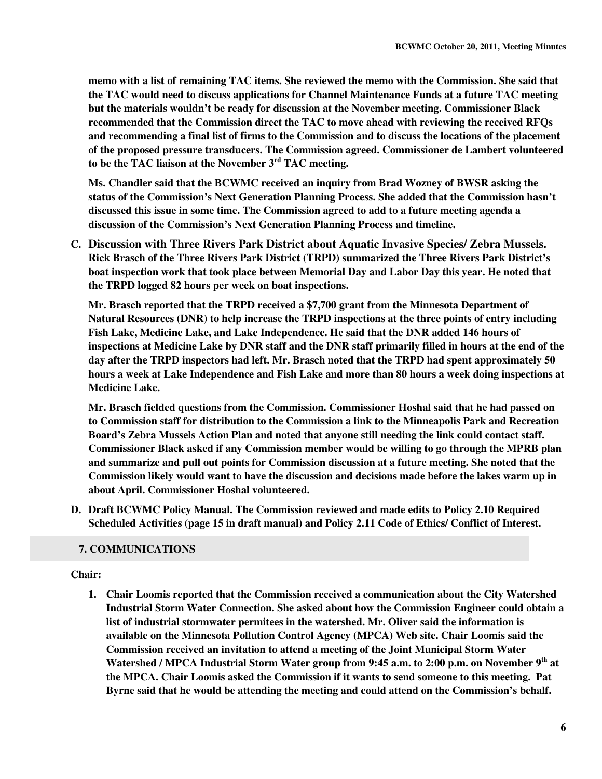**memo with a list of remaining TAC items. She reviewed the memo with the Commission. She said that the TAC would need to discuss applications for Channel Maintenance Funds at a future TAC meeting but the materials wouldn't be ready for discussion at the November meeting. Commissioner Black recommended that the Commission direct the TAC to move ahead with reviewing the received RFQs and recommending a final list of firms to the Commission and to discuss the locations of the placement of the proposed pressure transducers. The Commission agreed. Commissioner de Lambert volunteered to be the TAC liaison at the November 3rd TAC meeting.** 

**Ms. Chandler said that the BCWMC received an inquiry from Brad Wozney of BWSR asking the status of the Commission's Next Generation Planning Process. She added that the Commission hasn't discussed this issue in some time. The Commission agreed to add to a future meeting agenda a discussion of the Commission's Next Generation Planning Process and timeline.** 

**C. Discussion with Three Rivers Park District about Aquatic Invasive Species/ Zebra Mussels. Rick Brasch of the Three Rivers Park District (TRPD) summarized the Three Rivers Park District's boat inspection work that took place between Memorial Day and Labor Day this year. He noted that the TRPD logged 82 hours per week on boat inspections.** 

**Mr. Brasch reported that the TRPD received a \$7,700 grant from the Minnesota Department of Natural Resources (DNR) to help increase the TRPD inspections at the three points of entry including Fish Lake, Medicine Lake, and Lake Independence. He said that the DNR added 146 hours of inspections at Medicine Lake by DNR staff and the DNR staff primarily filled in hours at the end of the day after the TRPD inspectors had left. Mr. Brasch noted that the TRPD had spent approximately 50 hours a week at Lake Independence and Fish Lake and more than 80 hours a week doing inspections at Medicine Lake.** 

**Mr. Brasch fielded questions from the Commission. Commissioner Hoshal said that he had passed on to Commission staff for distribution to the Commission a link to the Minneapolis Park and Recreation Board's Zebra Mussels Action Plan and noted that anyone still needing the link could contact staff. Commissioner Black asked if any Commission member would be willing to go through the MPRB plan and summarize and pull out points for Commission discussion at a future meeting. She noted that the Commission likely would want to have the discussion and decisions made before the lakes warm up in about April. Commissioner Hoshal volunteered.** 

**D. Draft BCWMC Policy Manual. The Commission reviewed and made edits to Policy 2.10 Required Scheduled Activities (page 15 in draft manual) and Policy 2.11 Code of Ethics/ Conflict of Interest.** 

## **7. COMMUNICATIONS**

## **Chair:**

**1. Chair Loomis reported that the Commission received a communication about the City Watershed Industrial Storm Water Connection. She asked about how the Commission Engineer could obtain a list of industrial stormwater permitees in the watershed. Mr. Oliver said the information is available on the Minnesota Pollution Control Agency (MPCA) Web site. Chair Loomis said the Commission received an invitation to attend a meeting of the Joint Municipal Storm Water Watershed / MPCA Industrial Storm Water group from 9:45 a.m. to 2:00 p.m. on November 9th at the MPCA. Chair Loomis asked the Commission if it wants to send someone to this meeting. Pat Byrne said that he would be attending the meeting and could attend on the Commission's behalf.**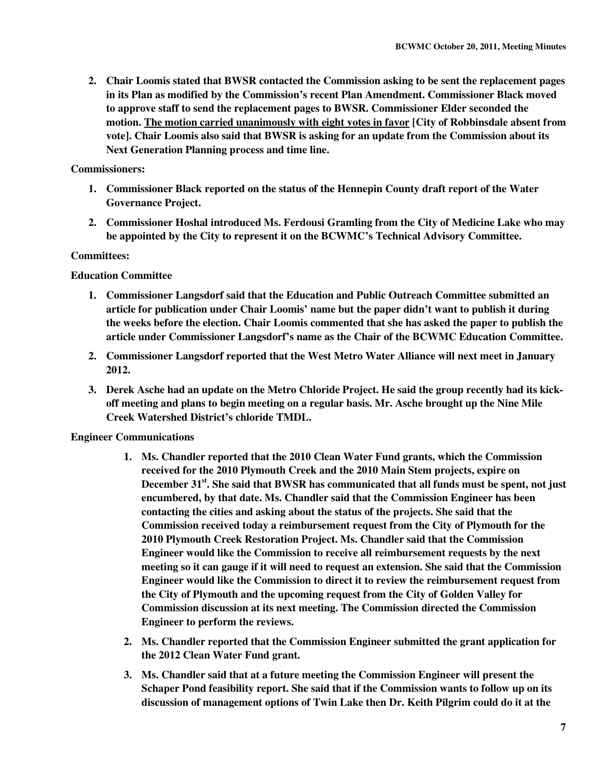**2. Chair Loomis stated that BWSR contacted the Commission asking to be sent the replacement pages in its Plan as modified by the Commission's recent Plan Amendment. Commissioner Black moved to approve staff to send the replacement pages to BWSR. Commissioner Elder seconded the motion. The motion carried unanimously with eight votes in favor [City of Robbinsdale absent from vote]. Chair Loomis also said that BWSR is asking for an update from the Commission about its Next Generation Planning process and time line.** 

## **Commissioners:**

- **1. Commissioner Black reported on the status of the Hennepin County draft report of the Water Governance Project.**
- **2. Commissioner Hoshal introduced Ms. Ferdousi Gramling from the City of Medicine Lake who may be appointed by the City to represent it on the BCWMC's Technical Advisory Committee.**

## **Committees:**

## **Education Committee**

- **1. Commissioner Langsdorf said that the Education and Public Outreach Committee submitted an article for publication under Chair Loomis' name but the paper didn't want to publish it during the weeks before the election. Chair Loomis commented that she has asked the paper to publish the article under Commissioner Langsdorf's name as the Chair of the BCWMC Education Committee.**
- **2. Commissioner Langsdorf reported that the West Metro Water Alliance will next meet in January 2012.**
- **3. Derek Asche had an update on the Metro Chloride Project. He said the group recently had its kickoff meeting and plans to begin meeting on a regular basis. Mr. Asche brought up the Nine Mile Creek Watershed District's chloride TMDL.**

# **Engineer Communications**

- **1. Ms. Chandler reported that the 2010 Clean Water Fund grants, which the Commission received for the 2010 Plymouth Creek and the 2010 Main Stem projects, expire on December 31st. She said that BWSR has communicated that all funds must be spent, not just encumbered, by that date. Ms. Chandler said that the Commission Engineer has been contacting the cities and asking about the status of the projects. She said that the Commission received today a reimbursement request from the City of Plymouth for the 2010 Plymouth Creek Restoration Project. Ms. Chandler said that the Commission Engineer would like the Commission to receive all reimbursement requests by the next meeting so it can gauge if it will need to request an extension. She said that the Commission Engineer would like the Commission to direct it to review the reimbursement request from the City of Plymouth and the upcoming request from the City of Golden Valley for Commission discussion at its next meeting. The Commission directed the Commission Engineer to perform the reviews.**
- **2. Ms. Chandler reported that the Commission Engineer submitted the grant application for the 2012 Clean Water Fund grant.**
- **3. Ms. Chandler said that at a future meeting the Commission Engineer will present the Schaper Pond feasibility report. She said that if the Commission wants to follow up on its discussion of management options of Twin Lake then Dr. Keith Pilgrim could do it at the**